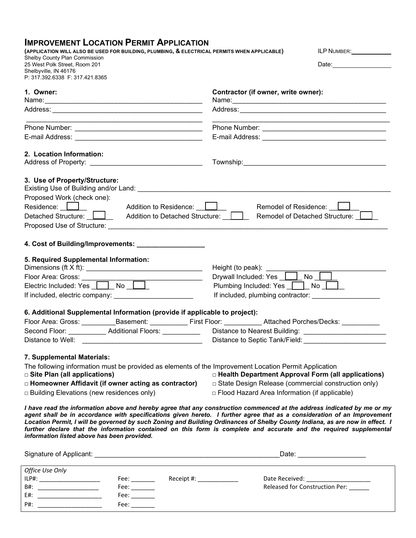## **IMPROVEMENT LOCATION PERMIT APPLICATION**

|                                                                               |                                                                                           |                           | (APPLICATION WILL ALSO BE USED FOR BUILDING, PLUMBING, & ELECTRICAL PERMITS WHEN APPLICABLE)                    | ILP NUMBER:                                                                                                                                                                                                                                                                                                                                                                                                                                                                                               |  |
|-------------------------------------------------------------------------------|-------------------------------------------------------------------------------------------|---------------------------|-----------------------------------------------------------------------------------------------------------------|-----------------------------------------------------------------------------------------------------------------------------------------------------------------------------------------------------------------------------------------------------------------------------------------------------------------------------------------------------------------------------------------------------------------------------------------------------------------------------------------------------------|--|
| Shelby County Plan Commission<br>25 West Polk Street, Room 201                |                                                                                           |                           |                                                                                                                 |                                                                                                                                                                                                                                                                                                                                                                                                                                                                                                           |  |
| Shelbyville, IN 46176                                                         |                                                                                           |                           |                                                                                                                 |                                                                                                                                                                                                                                                                                                                                                                                                                                                                                                           |  |
| P: 317.392.6338 F: 317.421.8365                                               |                                                                                           |                           |                                                                                                                 |                                                                                                                                                                                                                                                                                                                                                                                                                                                                                                           |  |
| 1. Owner:                                                                     |                                                                                           |                           | Contractor (if owner, write owner):                                                                             |                                                                                                                                                                                                                                                                                                                                                                                                                                                                                                           |  |
|                                                                               |                                                                                           |                           |                                                                                                                 |                                                                                                                                                                                                                                                                                                                                                                                                                                                                                                           |  |
|                                                                               |                                                                                           |                           |                                                                                                                 |                                                                                                                                                                                                                                                                                                                                                                                                                                                                                                           |  |
|                                                                               | the control of the control of the control of the control of the control of the control of |                           |                                                                                                                 | the control of the control of the control of the control of the control of the control of the control of the control of the control of the control of the control of the control of the control of the control of the control                                                                                                                                                                                                                                                                             |  |
|                                                                               |                                                                                           |                           |                                                                                                                 |                                                                                                                                                                                                                                                                                                                                                                                                                                                                                                           |  |
|                                                                               |                                                                                           |                           |                                                                                                                 |                                                                                                                                                                                                                                                                                                                                                                                                                                                                                                           |  |
| 2. Location Information:                                                      |                                                                                           |                           |                                                                                                                 |                                                                                                                                                                                                                                                                                                                                                                                                                                                                                                           |  |
| Address of Property: ___________________________________                      |                                                                                           |                           |                                                                                                                 |                                                                                                                                                                                                                                                                                                                                                                                                                                                                                                           |  |
|                                                                               |                                                                                           |                           |                                                                                                                 |                                                                                                                                                                                                                                                                                                                                                                                                                                                                                                           |  |
| 3. Use of Property/Structure:                                                 |                                                                                           |                           |                                                                                                                 |                                                                                                                                                                                                                                                                                                                                                                                                                                                                                                           |  |
| Proposed Work (check one):                                                    |                                                                                           |                           |                                                                                                                 |                                                                                                                                                                                                                                                                                                                                                                                                                                                                                                           |  |
| Residence: <u>Deny and Addition</u> to Residence: Deny Addition to Residence: |                                                                                           |                           |                                                                                                                 | Remodel of Residence: <u>Journal</u>                                                                                                                                                                                                                                                                                                                                                                                                                                                                      |  |
|                                                                               |                                                                                           |                           | Detached Structure: $\Box$ Addition to Detached Structure: $\Box$ Remodel of Detached Structure: $\Box$         |                                                                                                                                                                                                                                                                                                                                                                                                                                                                                                           |  |
|                                                                               |                                                                                           |                           |                                                                                                                 |                                                                                                                                                                                                                                                                                                                                                                                                                                                                                                           |  |
|                                                                               |                                                                                           |                           |                                                                                                                 |                                                                                                                                                                                                                                                                                                                                                                                                                                                                                                           |  |
| 4. Cost of Building/Improvements: ____________________                        |                                                                                           |                           |                                                                                                                 |                                                                                                                                                                                                                                                                                                                                                                                                                                                                                                           |  |
|                                                                               |                                                                                           |                           |                                                                                                                 |                                                                                                                                                                                                                                                                                                                                                                                                                                                                                                           |  |
| 5. Required Supplemental Information:                                         |                                                                                           |                           |                                                                                                                 |                                                                                                                                                                                                                                                                                                                                                                                                                                                                                                           |  |
|                                                                               |                                                                                           |                           | Height (to peak):<br>Drywall Included: Yes <u>___</u> __No _____                                                |                                                                                                                                                                                                                                                                                                                                                                                                                                                                                                           |  |
| Floor Area: Gross: ______<br>Electric Included: Yes No                        |                                                                                           |                           | Plumbing Included: Yes   No  <br>If included, plumbing contractor:                                              |                                                                                                                                                                                                                                                                                                                                                                                                                                                                                                           |  |
|                                                                               |                                                                                           |                           |                                                                                                                 |                                                                                                                                                                                                                                                                                                                                                                                                                                                                                                           |  |
| 6. Additional Supplemental Information (provide if applicable to project):    |                                                                                           |                           |                                                                                                                 |                                                                                                                                                                                                                                                                                                                                                                                                                                                                                                           |  |
|                                                                               |                                                                                           |                           | Floor Area: Gross: ___________Basement: _____________First Floor: ___________Attached Porches/Decks: __________ |                                                                                                                                                                                                                                                                                                                                                                                                                                                                                                           |  |
| Second Floor: ___________ Additional Floors: __________                       |                                                                                           |                           |                                                                                                                 |                                                                                                                                                                                                                                                                                                                                                                                                                                                                                                           |  |
| Distance to Well:                                                             |                                                                                           |                           | Distance to Septic Tank/Field:<br>Laterature of the Septing Tank/Field:                                         |                                                                                                                                                                                                                                                                                                                                                                                                                                                                                                           |  |
|                                                                               |                                                                                           |                           |                                                                                                                 |                                                                                                                                                                                                                                                                                                                                                                                                                                                                                                           |  |
| 7. Supplemental Materials:                                                    |                                                                                           |                           |                                                                                                                 |                                                                                                                                                                                                                                                                                                                                                                                                                                                                                                           |  |
|                                                                               |                                                                                           |                           | The following information must be provided as elements of the Improvement Location Permit Application           |                                                                                                                                                                                                                                                                                                                                                                                                                                                                                                           |  |
| $\square$ Site Plan (all applications)                                        |                                                                                           |                           |                                                                                                                 | □ Health Department Approval Form (all applications)                                                                                                                                                                                                                                                                                                                                                                                                                                                      |  |
| □ Homeowner Affidavit (if owner acting as contractor)                         |                                                                                           |                           |                                                                                                                 | □ State Design Release (commercial construction only)                                                                                                                                                                                                                                                                                                                                                                                                                                                     |  |
| $\Box$ Building Elevations (new residences only)                              |                                                                                           |                           | □ Flood Hazard Area Information (if applicable)                                                                 |                                                                                                                                                                                                                                                                                                                                                                                                                                                                                                           |  |
| information listed above has been provided.                                   |                                                                                           |                           |                                                                                                                 | I have read the information above and hereby agree that any construction commenced at the address indicated by me or my<br>agent shall be in accordance with specifications given hereto. I further agree that as a consideration of an Improvement<br>Location Permit, I will be governed by such Zoning and Building Ordinances of Shelby County Indiana, as are now in effect. I<br>further declare that the information contained on this form is complete and accurate and the required supplemental |  |
|                                                                               |                                                                                           |                           |                                                                                                                 |                                                                                                                                                                                                                                                                                                                                                                                                                                                                                                           |  |
|                                                                               |                                                                                           |                           |                                                                                                                 | _Date: _____________________                                                                                                                                                                                                                                                                                                                                                                                                                                                                              |  |
| Office Use Only                                                               |                                                                                           |                           |                                                                                                                 |                                                                                                                                                                                                                                                                                                                                                                                                                                                                                                           |  |
| ILP#: _________________________                                               | Fee: $\_\_$                                                                               | Receipt #: ______________ |                                                                                                                 | Date Received: ________________________                                                                                                                                                                                                                                                                                                                                                                                                                                                                   |  |
| B#: ___________________________                                               |                                                                                           |                           |                                                                                                                 | Released for Construction Per:                                                                                                                                                                                                                                                                                                                                                                                                                                                                            |  |
|                                                                               | $\text{Fee:}\_\_\_\_\_\_\$                                                                |                           |                                                                                                                 |                                                                                                                                                                                                                                                                                                                                                                                                                                                                                                           |  |

P#: \_\_\_\_\_\_\_\_\_\_\_\_\_\_\_\_\_\_\_ Fee: \_\_\_\_\_\_\_